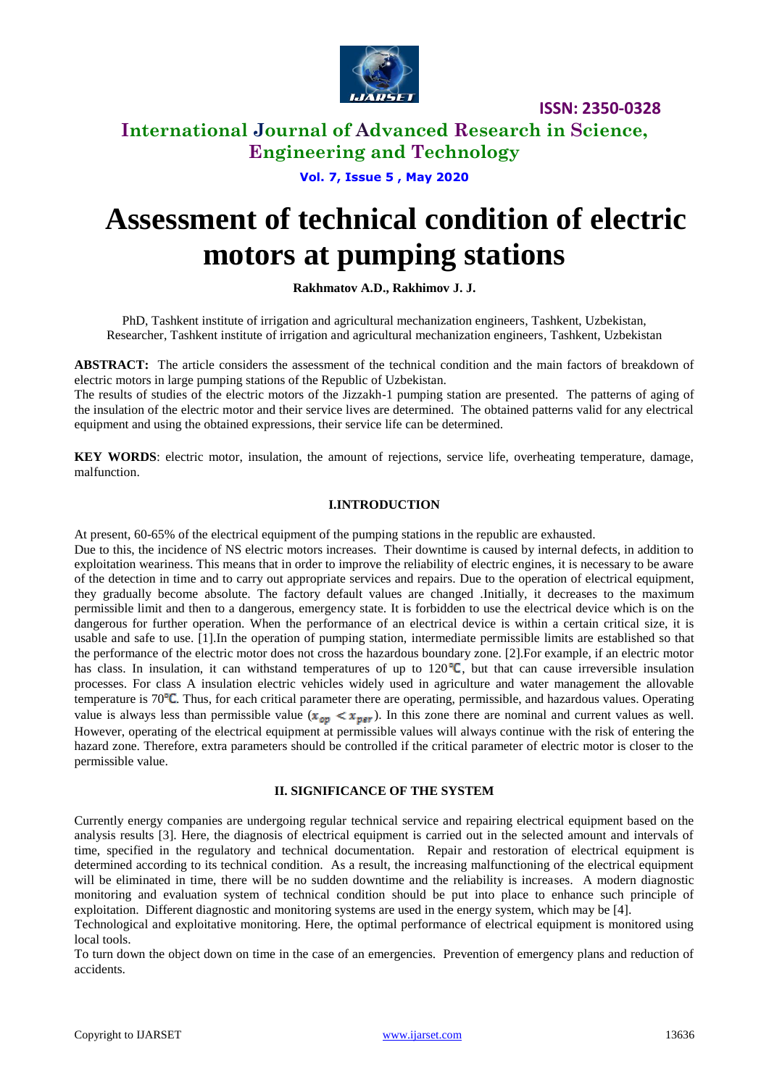

### **International Journal of Advanced Research in Science, Engineering and Technology**

**Vol. 7, Issue 5 , May 2020**

# **Assessment of technical condition of electric motors at pumping stations**

**Rakhmatov A.D., Rakhimov J. J.**

PhD, [Tashkent institute of irrigation and agricultural mechanization engineers,](http://tiiame.uz/en) Tashkent, Uzbekistan, Researcher, [Tashkent institute of irrigation and agricultural mechanization engineers,](http://tiiame.uz/en) Tashkent, Uzbekistan

**ABSTRACT:** The article considers the assessment of the technical condition and the main factors of breakdown of electric motors in large pumping stations of the Republic of Uzbekistan.

The results of studies of the electric motors of the Jizzakh-1 pumping station are presented. The patterns of aging of the insulation of the electric motor and their service lives are determined. The obtained patterns valid for any electrical equipment and using the obtained expressions, their service life can be determined.

**KEY WORDS**: electric motor, insulation, the amount of rejections, service life, overheating temperature, damage, malfunction.

#### **I.INTRODUCTION**

At present, 60-65% of the electrical equipment of the pumping stations in the republic are exhausted.

Due to this, the incidence of NS electric motors increases. Their downtime is caused by internal defects, in addition to exploitation weariness. This means that in order to improve the reliability of electric engines, it is necessary to be aware of the detection in time and to carry out appropriate services and repairs. Due to the operation of electrical equipment, they gradually become absolute. The factory default values are changed .Initially, it decreases to the maximum permissible limit and then to a dangerous, emergency state. It is forbidden to use the electrical device which is on the dangerous for further operation. When the performance of an electrical device is within a certain critical size, it is usable and safe to use. [1].In the operation of pumping station, intermediate permissible limits are established so that the performance of the electric motor does not cross the hazardous boundary zone. [2].For example, if an electric motor has class. In insulation, it can withstand temperatures of up to  $120^{\circ}C$ , but that can cause irreversible insulation processes. For class A insulation electric vehicles widely used in agriculture and water management the allovable temperature is  $70^{\circ}$ C. Thus, for each critical parameter there are operating, permissible, and hazardous values. Operating value is always less than permissible value  $(x_{\text{op}} < x_{\text{per}})$ . In this zone there are nominal and current values as well. However, operating of the electrical equipment at permissible values will always continue with the risk of entering the hazard zone. Therefore, extra parameters should be controlled if the critical parameter of electric motor is closer to the permissible value.

#### **II. SIGNIFICANCE OF THE SYSTEM**

Currently energy companies are undergoing regular technical service and repairing electrical equipment based on the analysis results [3]. Here, the diagnosis of electrical equipment is carried out in the selected amount and intervals of time, specified in the regulatory and technical documentation. Repair and restoration of electrical equipment is determined according to its technical condition. As a result, the increasing malfunctioning of the electrical equipment will be eliminated in time, there will be no sudden downtime and the reliability is increases. A modern diagnostic monitoring and evaluation system of technical condition should be put into place to enhance such principle of exploitation. Different diagnostic and monitoring systems are used in the energy system, which may be [4].

Technological and exploitative monitoring. Here, the optimal performance of electrical equipment is monitored using local tools.

To turn down the object down on time in the case of an emergencies. Prevention of emergency plans and reduction of accidents.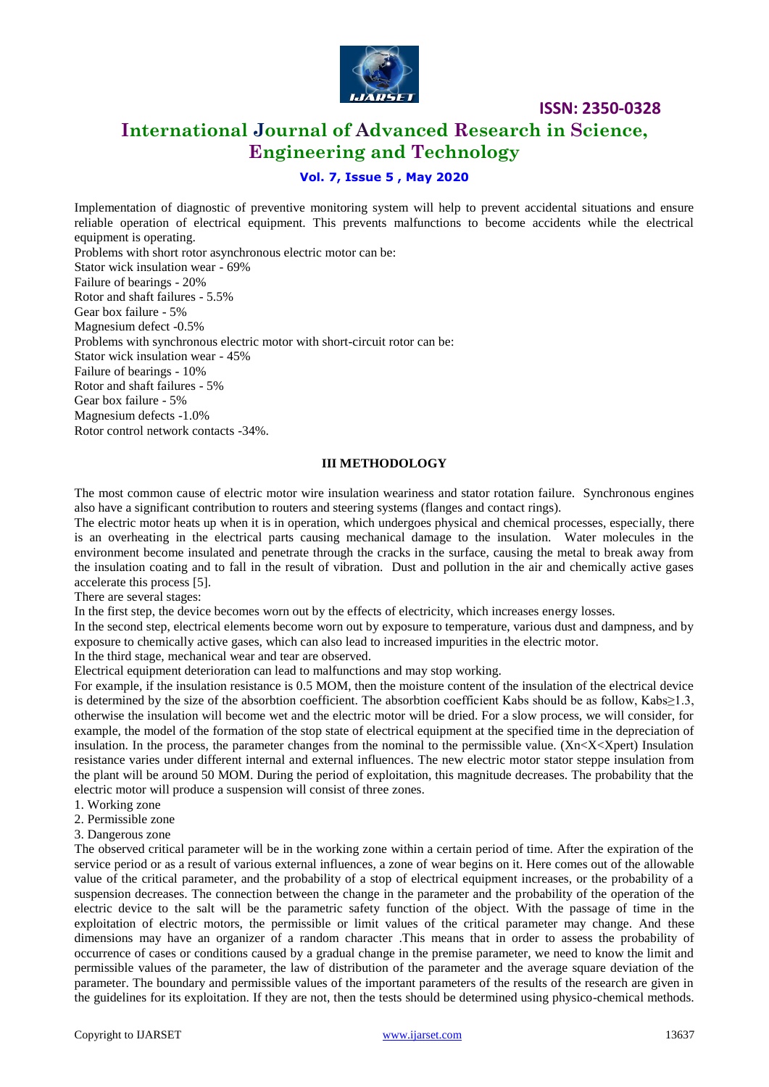

# **International Journal of Advanced Research in Science, Engineering and Technology**

### **Vol. 7, Issue 5 , May 2020**

Implementation of diagnostic of preventive monitoring system will help to prevent accidental situations and ensure reliable operation of electrical equipment. This prevents malfunctions to become accidents while the electrical equipment is operating. Problems with short rotor asynchronous electric motor can be: Stator wick insulation wear - 69% Failure of bearings - 20% Rotor and shaft failures - 5.5% Gear box failure - 5% Magnesium defect -0.5% Problems with synchronous electric motor with short-circuit rotor can be: Stator wick insulation wear - 45% Failure of bearings - 10% Rotor and shaft failures - 5% Gear box failure - 5% Magnesium defects -1.0%

Rotor control network contacts -34%.

#### **III METHODOLOGY**

The most common cause of electric motor wire insulation weariness and stator rotation failure. Synchronous engines also have a significant contribution to routers and steering systems (flanges and contact rings).

The electric motor heats up when it is in operation, which undergoes physical and chemical processes, especially, there is an overheating in the electrical parts causing mechanical damage to the insulation. Water molecules in the environment become insulated and penetrate through the cracks in the surface, causing the metal to break away from the insulation coating and to fall in the result of vibration. Dust and pollution in the air and chemically active gases accelerate this process [5].

There are several stages:

In the first step, the device becomes worn out by the effects of electricity, which increases energy losses.

In the second step, electrical elements become worn out by exposure to temperature, various dust and dampness, and by exposure to chemically active gases, which can also lead to increased impurities in the electric motor.

In the third stage, mechanical wear and tear are observed.

Electrical equipment deterioration can lead to malfunctions and may stop working.

For example, if the insulation resistance is 0.5 MOM, then the moisture content of the insulation of the electrical device is determined by the size of the absorbtion coefficient. The absorbtion coefficient Kabs should be as follow, Kabs≥1.3, otherwise the insulation will become wet and the electric motor will be dried. For a slow process, we will consider, for example, the model of the formation of the stop state of electrical equipment at the specified time in the depreciation of insulation. In the process, the parameter changes from the nominal to the permissible value.  $(Xn < X \leq Xper)$  Insulation resistance varies under different internal and external influences. The new electric motor stator steppe insulation from the plant will be around 50 MOM. During the period of exploitation, this magnitude decreases. The probability that the electric motor will produce a suspension will consist of three zones.

- 1. Working zone
- 2. Permissible zone
- 3. Dangerous zone

The observed critical parameter will be in the working zone within a certain period of time. After the expiration of the service period or as a result of various external influences, a zone of wear begins on it. Here comes out of the allowable value of the critical parameter, and the probability of a stop of electrical equipment increases, or the probability of a suspension decreases. The connection between the change in the parameter and the probability of the operation of the electric device to the salt will be the parametric safety function of the object. With the passage of time in the exploitation of electric motors, the permissible or limit values of the critical parameter may change. And these dimensions may have an organizer of a random character .This means that in order to assess the probability of occurrence of cases or conditions caused by a gradual change in the premise parameter, we need to know the limit and permissible values of the parameter, the law of distribution of the parameter and the average square deviation of the parameter. The boundary and permissible values of the important parameters of the results of the research are given in the guidelines for its exploitation. If they are not, then the tests should be determined using physico-chemical methods.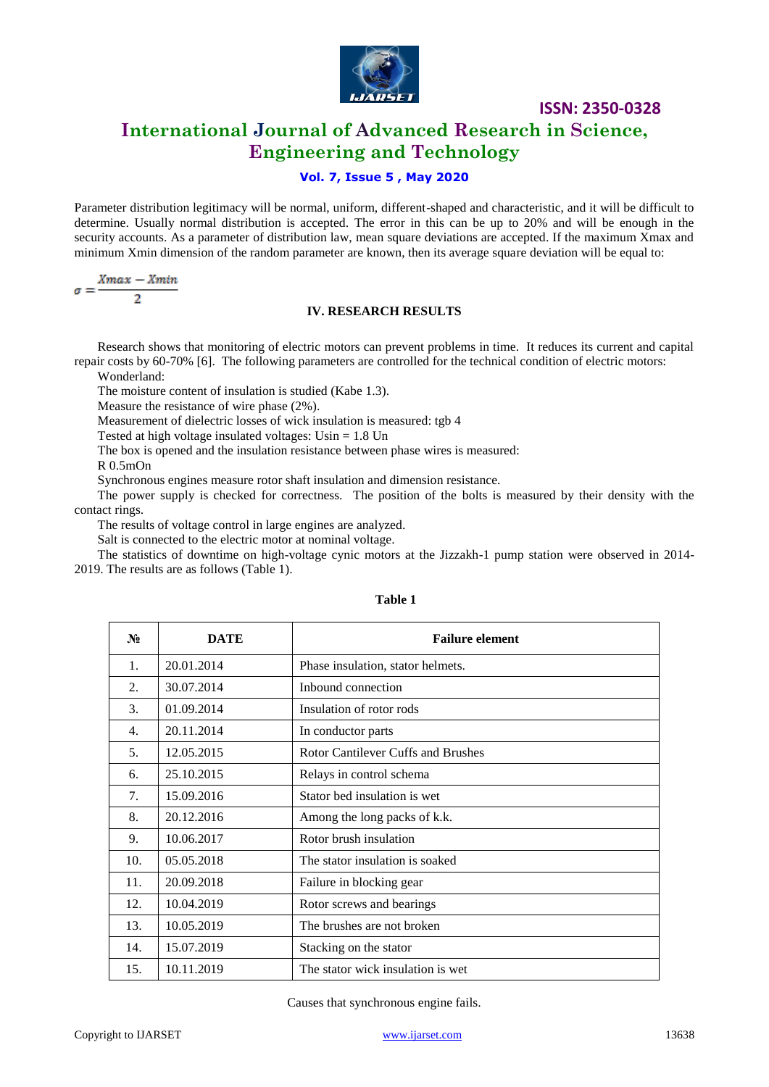

## **International Journal of Advanced Research in Science, Engineering and Technology**

### **Vol. 7, Issue 5 , May 2020**

Parameter distribution legitimacy will be normal, uniform, different-shaped and characteristic, and it will be difficult to determine. Usually normal distribution is accepted. The error in this can be up to 20% and will be enough in the security accounts. As a parameter of distribution law, mean square deviations are accepted. If the maximum Xmax and minimum Xmin dimension of the random parameter are known, then its average square deviation will be equal to:

$$
\sigma = \frac{Xmax - Xmin}{2}
$$

#### **IV. RESEARCH RESULTS**

Research shows that monitoring of electric motors can prevent problems in time. It reduces its current and capital repair costs by 60-70% [6]. The following parameters are controlled for the technical condition of electric motors:

Wonderland:

The moisture content of insulation is studied (Kabe 1.3).

Measure the resistance of wire phase (2%).

Measurement of dielectric losses of wick insulation is measured: tgb 4

Tested at high voltage insulated voltages: Usin = 1.8 Un

The box is opened and the insulation resistance between phase wires is measured:

R 0.5mOn

Synchronous engines measure rotor shaft insulation and dimension resistance.

The power supply is checked for correctness. The position of the bolts is measured by their density with the contact rings.

The results of voltage control in large engines are analyzed.

Salt is connected to the electric motor at nominal voltage.

The statistics of downtime on high-voltage cynic motors at the Jizzakh-1 pump station were observed in 2014- 2019. The results are as follows (Table 1).

| $N_2$ | <b>DATE</b> | <b>Failure element</b>                    |
|-------|-------------|-------------------------------------------|
| 1.    | 20.01.2014  | Phase insulation, stator helmets.         |
| 2.    | 30.07.2014  | Inbound connection                        |
| 3.    | 01.09.2014  | Insulation of rotor rods                  |
| 4.    | 20.11.2014  | In conductor parts                        |
| 5.    | 12.05.2015  | <b>Rotor Cantilever Cuffs and Brushes</b> |
| 6.    | 25.10.2015  | Relays in control schema                  |
| 7.    | 15.09.2016  | Stator bed insulation is wet.             |
| 8.    | 20.12.2016  | Among the long packs of k.k.              |
| 9.    | 10.06.2017  | Rotor brush insulation                    |
| 10.   | 05.05.2018  | The stator insulation is soaked           |
| 11.   | 20.09.2018  | Failure in blocking gear                  |
| 12.   | 10.04.2019  | Rotor screws and bearings                 |
| 13.   | 10.05.2019  | The brushes are not broken                |
| 14.   | 15.07.2019  | Stacking on the stator                    |
| 15.   | 10.11.2019  | The stator wick insulation is wet         |

#### **Table 1**

Causes that synchronous engine fails.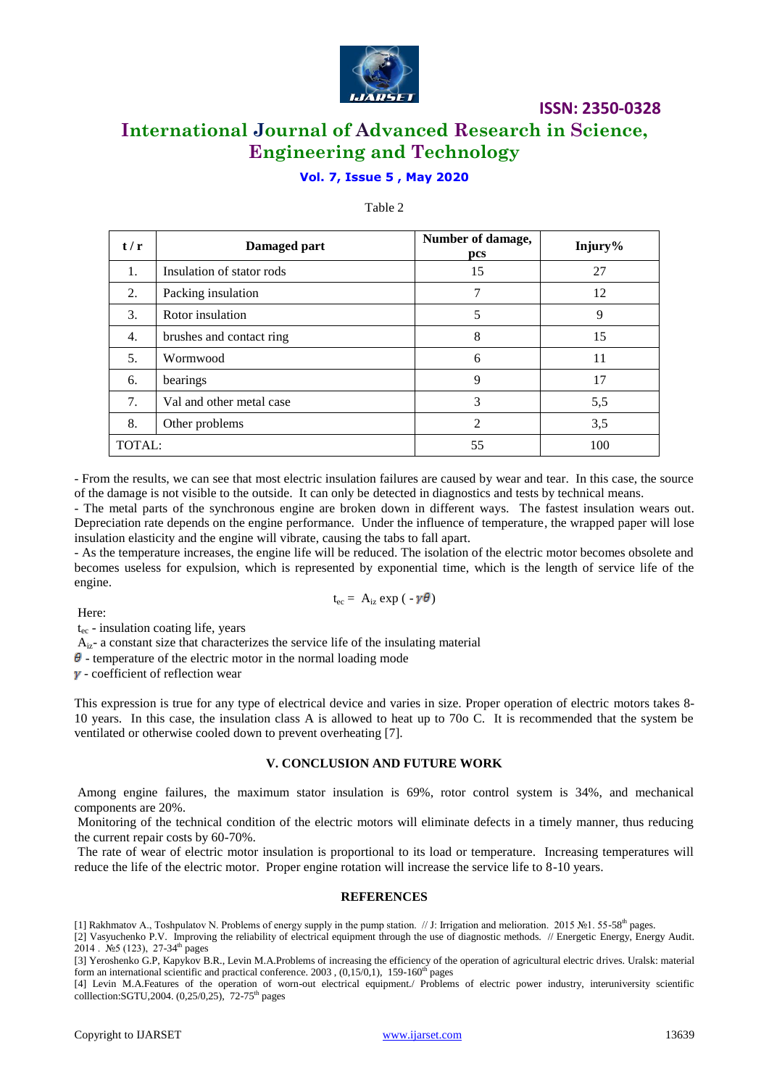

# **International Journal of Advanced Research in Science, Engineering and Technology**

### **Vol. 7, Issue 5 , May 2020**

#### Table 2

| t/r    | Damaged part              | Number of damage,<br>pcs | Injury% |
|--------|---------------------------|--------------------------|---------|
| 1.     | Insulation of stator rods | 15                       | 27      |
| 2.     | Packing insulation        |                          | 12      |
| 3.     | Rotor insulation          | 5                        | 9       |
| 4.     | brushes and contact ring  | 8                        | 15      |
| 5.     | Wormwood                  | 6                        | 11      |
| 6.     | bearings                  | 9                        | 17      |
| 7.     | Val and other metal case  | 3                        | 5,5     |
| 8.     | Other problems            | $\overline{2}$           | 3,5     |
| TOTAL: |                           | 55                       | 100     |

- From the results, we can see that most electric insulation failures are caused by wear and tear. In this case, the source of the damage is not visible to the outside. It can only be detected in diagnostics and tests by technical means.

- The metal parts of the synchronous engine are broken down in different ways. The fastest insulation wears out. Depreciation rate depends on the engine performance. Under the influence of temperature, the wrapped paper will lose insulation elasticity and the engine will vibrate, causing the tabs to fall apart.

- As the temperature increases, the engine life will be reduced. The isolation of the electric motor becomes obsolete and becomes useless for expulsion, which is represented by exponential time, which is the length of service life of the engine.

$$
t_{ec} = A_{iz} \exp(-\gamma \theta)
$$

Here:

 $t_{\text{ec}}$  - insulation coating life, years

 $A_{iz}$ - a constant size that characterizes the service life of the insulating material

 $\theta$  - temperature of the electric motor in the normal loading mode

 $\gamma$  - coefficient of reflection wear

This expression is true for any type of electrical device and varies in size. Proper operation of electric motors takes 8- 10 years. In this case, the insulation class A is allowed to heat up to 70o C. It is recommended that the system be ventilated or otherwise cooled down to prevent overheating [7].

#### **V. CONCLUSION AND FUTURE WORK**

Among engine failures, the maximum stator insulation is 69%, rotor control system is 34%, and mechanical components are 20%.

Monitoring of the technical condition of the electric motors will eliminate defects in a timely manner, thus reducing the current repair costs by 60-70%.

The rate of wear of electric motor insulation is proportional to its load or temperature. Increasing temperatures will reduce the life of the electric motor. Proper engine rotation will increase the service life to 8-10 years.

#### **REFERENCES**

[1] Rakhmatov A., Toshpulatov N. Problems of energy supply in the pump station. // J: Irrigation and melioration. 2015 №1. 55-58th pages.

[2] Vasyuchenko P.V. Improving the reliability of electrical equipment through the use of diagnostic methods. // Energetic Energy, Energy Audit. 2014 . No 5 (123), 27-34<sup>th</sup> pages

[3] Yeroshenko G.P, Kapykov B.R., Levin M.A.Problems of increasing the efficiency of the operation of agricultural electric drives. Uralsk: material form an international scientific and practical conference.  $2003$ ,  $(0,15/0,1)$ , 159-160<sup>th</sup> pages

[4] Levin M.A.Features of the operation of worn-out electrical equipment./ Problems of electric power industry, interuniversity scientific colllection:SGTU,2004. (0,25/0,25), 72-75<sup>th</sup> pages